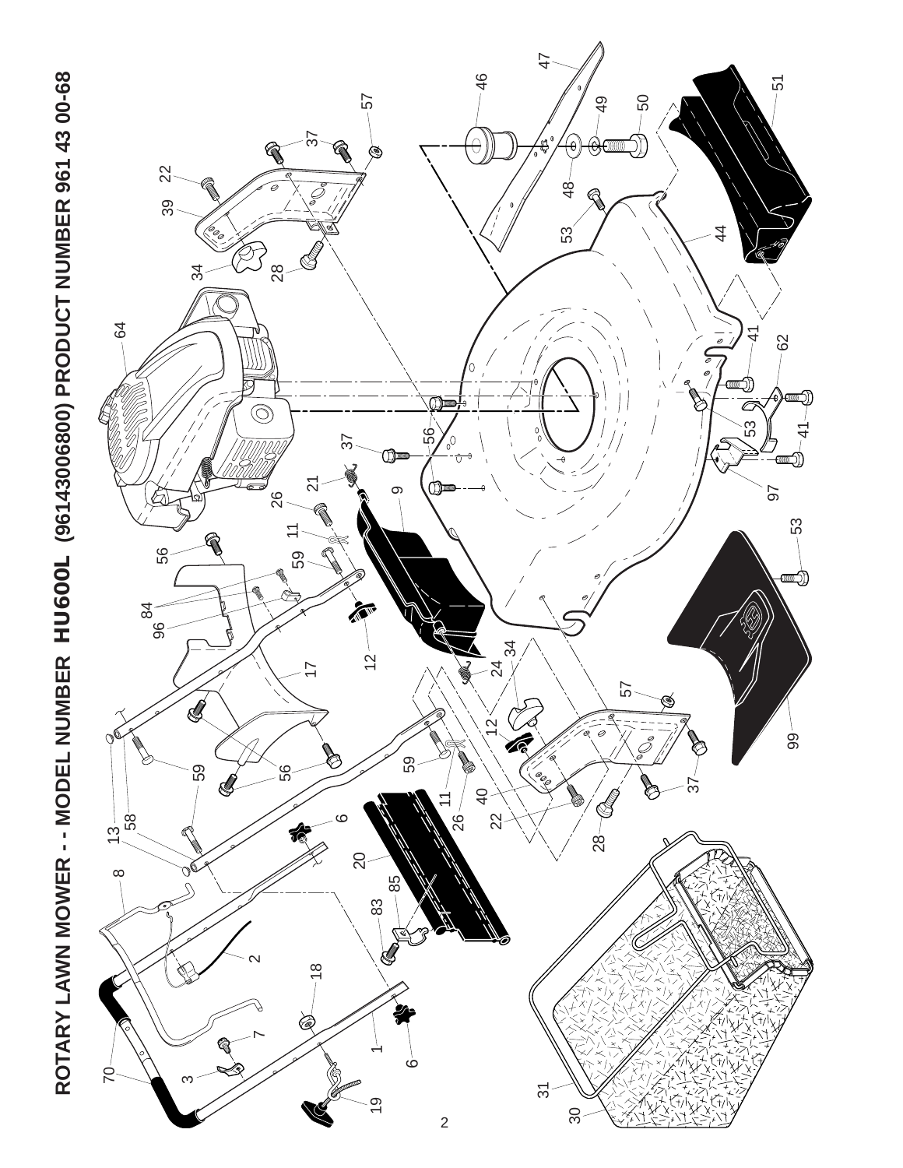

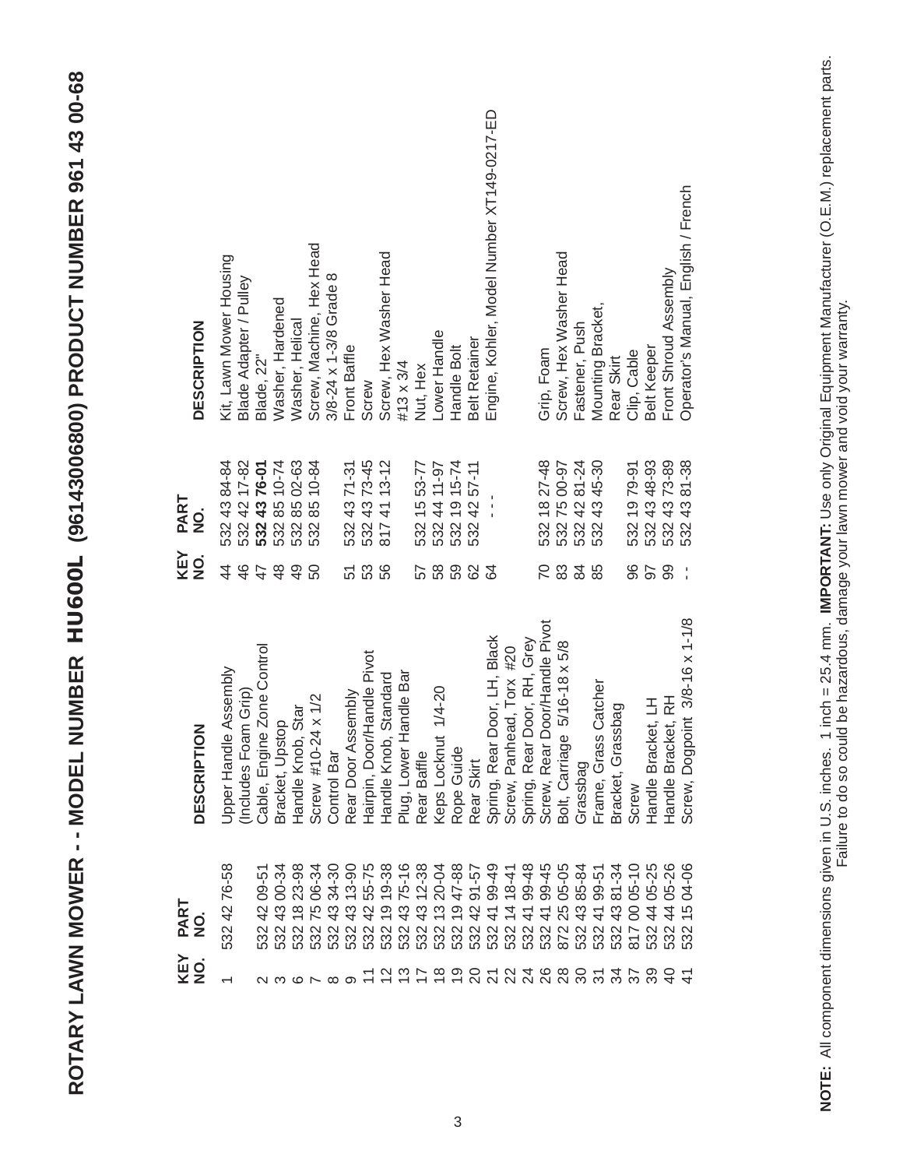| יישום בם ספט על טס־כּ                                      |
|------------------------------------------------------------|
| <b>ENTIRE HOTIC COORS</b><br> <br> フ<br> ソン                |
| וממממממי וימו                                              |
| - C C - - - -<br>」<br>)<br>)                               |
| $\mathbf{C}$<br><b>CONST</b><br>L<br>$\frac{1}{2}$         |
| <b>10DEL</b><br>į<br>É<br>I<br>Ī                           |
| Y<br>ſ<br>$\frac{1}{4}$<br>ì<br>į                          |
| $\overline{\phantom{a}}$<br>ŕ<br>ı<br>$\geq$<br>ć<br>ITA I |
| .<br>Q<br>ć                                                |

| KEY<br>NO.                          | PART<br>$\frac{0}{2}$                                                                                                                                       | <b>DESCRIPTION</b>                               | KEY<br>$\frac{1}{2}$ | PART<br>NO.                                                                         | <b>DESCRIPTION</b>                                |
|-------------------------------------|-------------------------------------------------------------------------------------------------------------------------------------------------------------|--------------------------------------------------|----------------------|-------------------------------------------------------------------------------------|---------------------------------------------------|
|                                     | 532 42 76-58                                                                                                                                                | Assembly<br>(Includes Foam Grip)<br>Upper Handle | $\frac{6}{4}$<br>4   | 532 43 84-84<br>532 42 17-82<br><b>532 43 76-01</b><br>532 85 10-74<br>532 85 02-63 | Kit, Lawn Mower Housing<br>Blade Adapter / Pulley |
|                                     |                                                                                                                                                             |                                                  | 47                   |                                                                                     |                                                   |
|                                     | $09 - 51$<br>$\frac{2}{3}$<br>532                                                                                                                           | Zone Control<br>Cable, Engine                    |                      |                                                                                     | Blade, 22"                                        |
|                                     | 00-34<br>43<br>532                                                                                                                                          | Bracket, Upstop                                  | $\frac{8}{3}$        |                                                                                     | Washer, Hardened                                  |
|                                     | 1823-98<br>532                                                                                                                                              | Star<br>Handle Knob,                             | $\frac{9}{4}$        |                                                                                     | Washer, Helical                                   |
| $\alpha$ $\alpha$ $\alpha$ $\alpha$ | 75 06-34<br>532                                                                                                                                             | Screw #10-24 x 1/2                               | 50                   | 532 85 10-84                                                                        | Screw, Machine, Hex Head                          |
|                                     | 43 34-30<br>532                                                                                                                                             | Control Bar                                      |                      |                                                                                     | 3/8-24 x 1-3/8 Grade 8                            |
| ာ                                   |                                                                                                                                                             | Rear Door Assembly                               | 51                   | 532 43 71-31<br>532 43 73-45                                                        | Front Baffle                                      |
|                                     |                                                                                                                                                             | Hairpin, Door/Handle Pivot                       | 53                   |                                                                                     | Screw                                             |
|                                     |                                                                                                                                                             | Standard<br>Handle Knob,                         | 56                   | 8174113-12                                                                          | Screw, Hex Washer Head                            |
|                                     |                                                                                                                                                             | andle Bar<br>Plug, Lower H                       |                      |                                                                                     | #13 x 3/4                                         |
|                                     |                                                                                                                                                             | Rear Baffle                                      | 57                   |                                                                                     | Nut, Hex                                          |
|                                     |                                                                                                                                                             | $1/4 - 20$<br>Keps Locknut                       | 58                   |                                                                                     | -ower Handle                                      |
|                                     |                                                                                                                                                             | Rope Guide                                       | 59                   | 532 15 53-77<br>532 44 11-97<br>532 19 15-74<br>532 42 57-11                        | Handle Bolt                                       |
|                                     |                                                                                                                                                             | Rear Skirt                                       | 62                   |                                                                                     | Belt Retainer                                     |
|                                     | $53243$ 13-90<br>$53242$ 55-75<br>$53219$ 19-38<br>$53219$ 13-20-44<br>$53213$ 13-20-44<br>$53213$ 20-44<br>$53213$ 20-44<br>$53214$ 18-44<br>$53214$ 18-45 | Spring, Rear Door, LH, Black                     | $\mathcal{Q}$        | İ                                                                                   | Engine, Kohler, Model Number XT149-0217-ED        |
|                                     |                                                                                                                                                             | Screw, Panhead, Torx #20                         |                      |                                                                                     |                                                   |
|                                     | 41 99-48<br>532.                                                                                                                                            | Spring, Rear Door, RH, Grey                      |                      |                                                                                     |                                                   |
|                                     |                                                                                                                                                             | Screw, Rear Door/Handle Pivot                    | $\overline{C}$       | 532 18 27-48                                                                        | Grip, Foam                                        |
|                                     | 532 41 99-45<br>872 25 05-05<br>532 43 85-84<br>532 41 99-51<br>532 43 81-34<br>817 00 05-10                                                                | $5/16 - 18 \times 5/8$<br>Bolt, Carriage         | $83\,$               | 532 75 00-97<br>532 42 81-24                                                        | Screw, Hex Washer Head                            |
|                                     |                                                                                                                                                             | Grassbag                                         | 84                   |                                                                                     | Fastener, Push                                    |
| 12かもりのひとみあるのか                       |                                                                                                                                                             | Catcher<br>Frame, Grass                          | 85                   | 532 43 45-30                                                                        | Mounting Bracket,                                 |
| 34                                  |                                                                                                                                                             | Bracket, Grassbag                                |                      |                                                                                     | Rear Skirt                                        |
|                                     |                                                                                                                                                             | Screw                                            | 96                   |                                                                                     | Clip, Cable                                       |
| $\frac{8}{25}$                      | 05-25<br>$\frac{4}{4}$                                                                                                                                      |                                                  | 50                   |                                                                                     | Belt Keeper                                       |
|                                     | 44 05-26<br>$\frac{2}{3}$<br>$\frac{2}{3}$<br>$\frac{2}{3}$                                                                                                 | Handle Bracket, LH<br>Handle Bracket, RH         | 99                   | 532 19 79-91<br>532 43 48-93<br>532 43 73-89<br>532 43 81-38                        | Front Shroud Assembly                             |
|                                     | 04-06<br>$\frac{5}{3}$                                                                                                                                      | int $3/8 - 16 \times 1 - 1/8$<br>Screw, Dogpoi   |                      |                                                                                     | Operator's Manual, English / French               |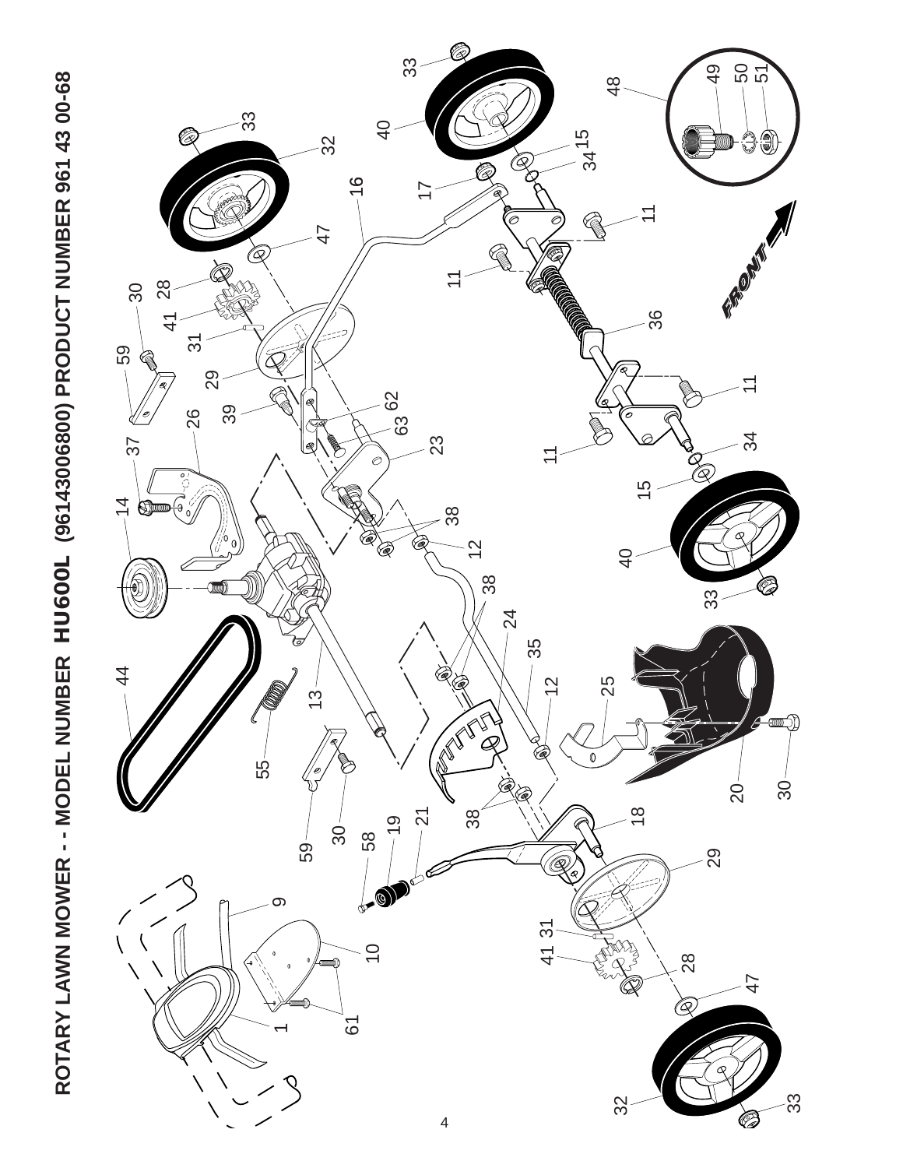